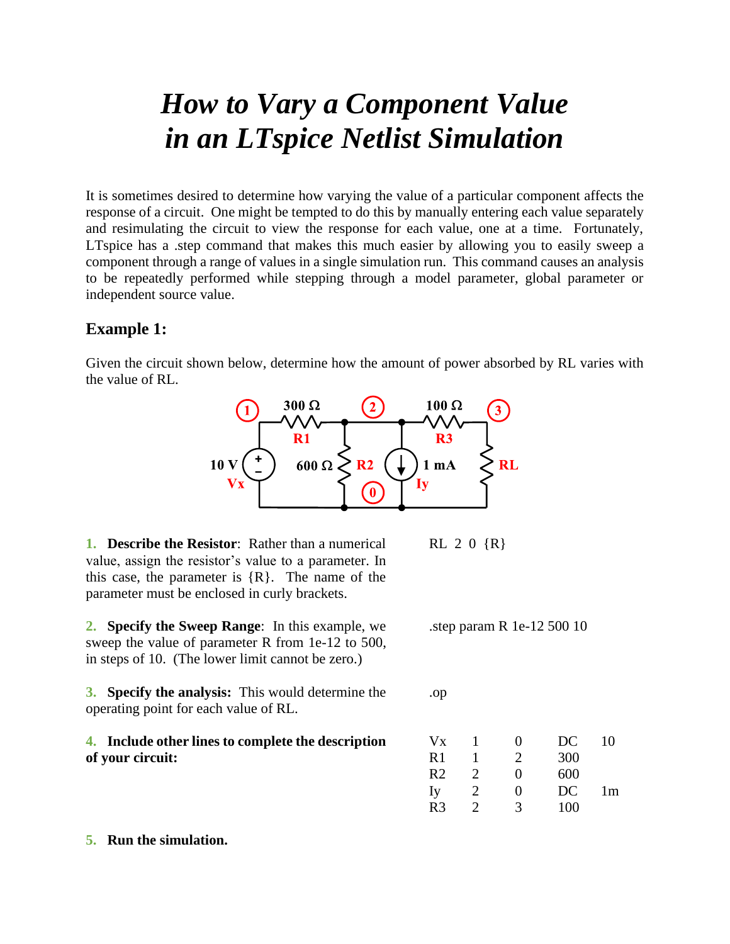## *How to Vary a Component Value in an LTspice Netlist Simulation*

It is sometimes desired to determine how varying the value of a particular component affects the response of a circuit. One might be tempted to do this by manually entering each value separately and resimulating the circuit to view the response for each value, one at a time. Fortunately, LTspice has a .step command that makes this much easier by allowing you to easily sweep a component through a range of values in a single simulation run. This command causes an analysis to be repeatedly performed while stepping through a model parameter, global parameter or independent source value.

## **Example 1:**

Given the circuit shown below, determine how the amount of power absorbed by RL varies with the value of RL.



**1. Describe the Resistor**: Rather than a numerical value, assign the resistor's value to a parameter. In this case, the parameter is  ${R}$ . The name of the parameter must be enclosed in curly brackets.

**2. Specify the Sweep Range**: In this example, we sweep the value of parameter R from 1e-12 to 500, in steps of 10. (The lower limit cannot be zero.)

**3. Specify the analysis:** This would determine the operating point for each value of RL.

**4. Include other lines to complete the description of your circuit:**

RL 2 0 {R}

.step param R 1e-12 500 10

.op

| Vx             |                             | 0 | DC  | 10 |
|----------------|-----------------------------|---|-----|----|
| R <sub>1</sub> |                             | 2 | 300 |    |
| R <sub>2</sub> | $\mathcal{D}_{\mathcal{L}}$ | 0 | 600 |    |
| Iy             | $\mathcal{D}_{\cdot}$       | 0 | DC  | 1m |
| R <sub>3</sub> | 7                           | 3 | 100 |    |

## **5. Run the simulation.**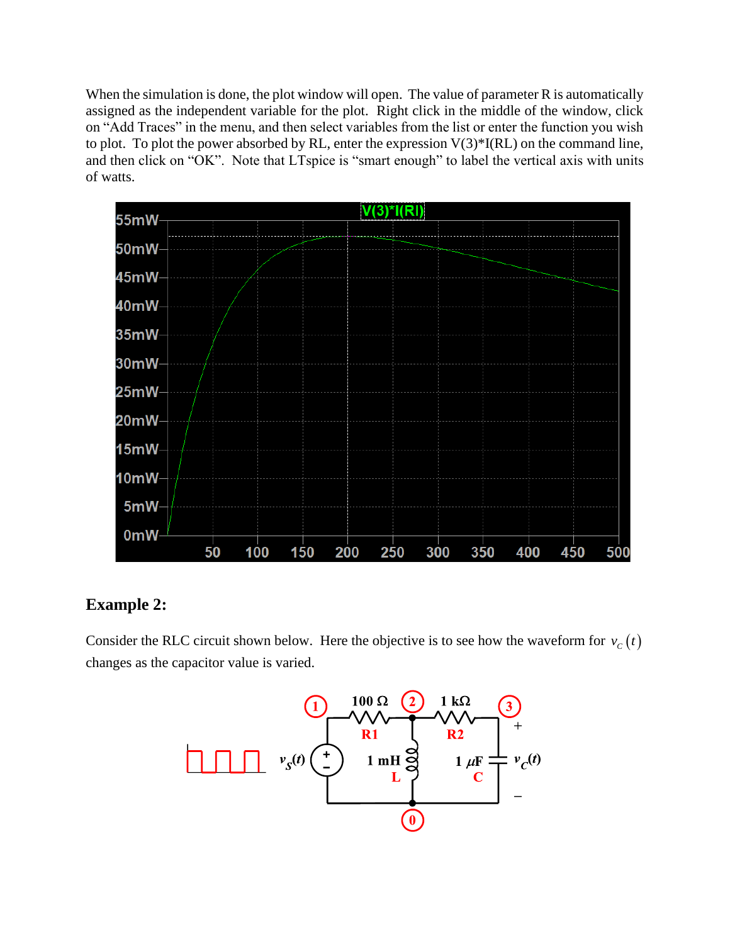When the simulation is done, the plot window will open. The value of parameter R is automatically assigned as the independent variable for the plot. Right click in the middle of the window, click on "Add Traces" in the menu, and then select variables from the list or enter the function you wish to plot. To plot the power absorbed by RL, enter the expression  $V(3)^*I(RL)$  on the command line, and then click on "OK". Note that LTspice is "smart enough" to label the vertical axis with units of watts.



## **Example 2:**

Consider the RLC circuit shown below. Here the objective is to see how the waveform for  $v_c(t)$ changes as the capacitor value is varied.